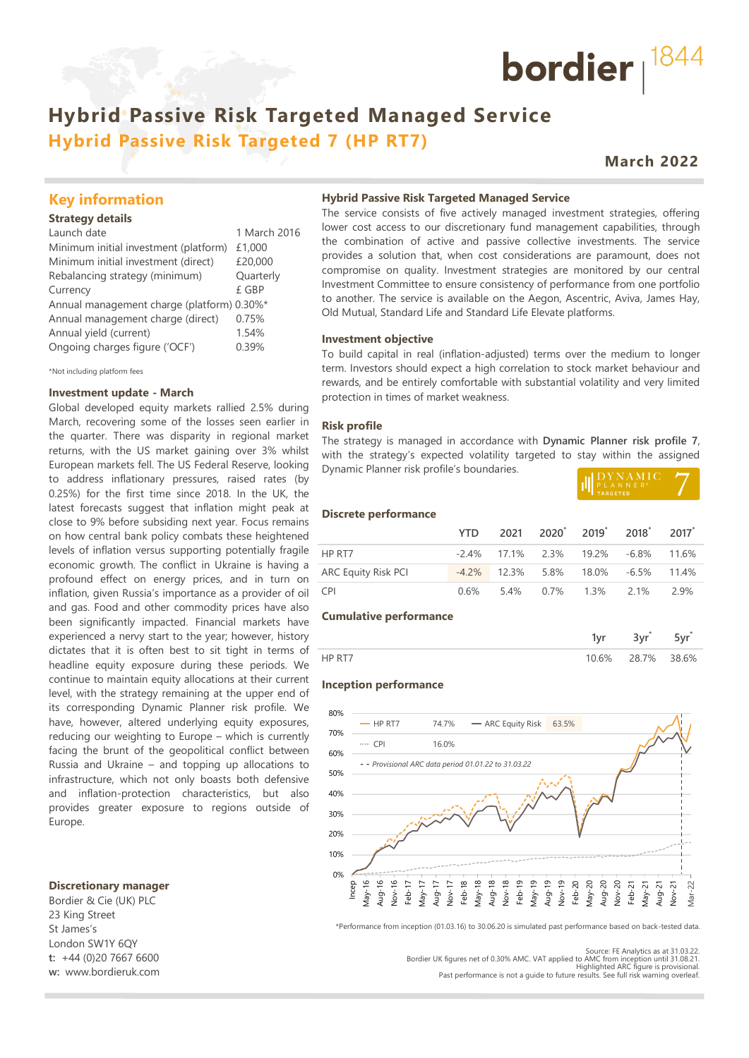## **Hybrid Passive Risk Targeted Managed Service Hybrid Passive Risk Targeted 7 (HP RT7)**

## **March 2022**

bordier  $1844$ 

## **Key information**

#### **Strategy details**

| Launch date                                | 1 March 2016 |
|--------------------------------------------|--------------|
| Minimum initial investment (platform)      | £1,000       |
| Minimum initial investment (direct)        | £20,000      |
| Rebalancing strategy (minimum)             | Quarterly    |
| Currency                                   | £ GBP        |
| Annual management charge (platform) 0.30%* |              |
| Annual management charge (direct)          | 0.75%        |
| Annual yield (current)                     | 1.54%        |
| Ongoing charges figure ('OCF')             | 0.39%        |
|                                            |              |

\*Not including platform fees

#### **Investment update - March**

Global developed equity markets rallied 2.5% during March, recovering some of the losses seen earlier in the quarter. There was disparity in regional market returns, with the US market gaining over 3% whilst European markets fell. The US Federal Reserve, looking to address inflationary pressures, raised rates (by 0.25%) for the first time since 2018. In the UK, the latest forecasts suggest that inflation might peak at close to 9% before subsiding next year. Focus remains on how central bank policy combats these heightened levels of inflation versus supporting potentially fragile economic growth. The conflict in Ukraine is having a profound effect on energy prices, and in turn on inflation, given Russia's importance as a provider of oil and gas. Food and other commodity prices have also been significantly impacted. Financial markets have experienced a nervy start to the year; however, history dictates that it is often best to sit tight in terms of headline equity exposure during these periods. We continue to maintain equity allocations at their current level, with the strategy remaining at the upper end of its corresponding Dynamic Planner risk profile. We have, however, altered underlying equity exposures, reducing our weighting to Europe – which is currently facing the brunt of the geopolitical conflict between Russia and Ukraine – and topping up allocations to infrastructure, which not only boasts both defensive and inflation-protection characteristics, but also provides greater exposure to regions outside of Europe.

#### **Discretionary manager**

Bordier & Cie (UK) PLC 23 King Street St James's London SW1Y 6QY **t:** +44 (0)20 7667 6600 **w:** www.bordieruk.com **Hybrid Passive Risk Targeted Managed Service**

The service consists of five actively managed investment strategies, offering lower cost access to our discretionary fund management capabilities, through the combination of active and passive collective investments. The service provides a solution that, when cost considerations are paramount, does not compromise on quality. Investment strategies are monitored by our central Investment Committee to ensure consistency of performance from one portfolio to another. The service is available on the Aegon, Ascentric, Aviva, James Hay, Old Mutual, Standard Life and Standard Life Elevate platforms.

#### **Investment objective**

To build capital in real (inflation-adjusted) terms over the medium to longer term. Investors should expect a high correlation to stock market behaviour and rewards, and be entirely comfortable with substantial volatility and very limited protection in times of market weakness.

#### **Risk profile**

The strategy is managed in accordance with **Dynamic Planner risk profile 7**, with the strategy's expected volatility targeted to stay within the assigned Dynamic Planner risk profile's boundaries.

| <b>ILLYNAMIC</b>      |  |
|-----------------------|--|
| <sup>'</sup> TARGETED |  |

#### **Discrete performance**

|                            |  |  | YTD 2021 2020 <sup>*</sup> 2019 <sup>*</sup> 2018 <sup>*</sup> 2017 <sup>*</sup> |  |
|----------------------------|--|--|----------------------------------------------------------------------------------|--|
| HP RT7                     |  |  | $-2.4\%$ 17.1% 2.3% 19.2% $-6.8\%$ 11.6%                                         |  |
| <b>ARC Equity Risk PCI</b> |  |  | $-4.2\%$ 12.3% 5.8% 18.0% $-6.5\%$ 11.4%                                         |  |
| <b>CPI</b>                 |  |  | $0.6\%$ 5.4% 0.7% 1.3% 2.1% 2.9%                                                 |  |

#### **Cumulative performance**

| <b>UDDI</b> | ` 6% | 28.7% | 386% |
|-------------|------|-------|------|

#### **Inception performance**



\*Performance from inception (01.03.16) to 30.06.20 is simulated past performance based on back-tested data.

Source: FE Analytics as at 31.03.22. Bordier UK figures net of 0.30% AMC. VAT applied to AMC from inception until 31.08.21. Highlighted ARC figure is provisional.

Past performance is not a guide to future results. See full risk warning overleaf